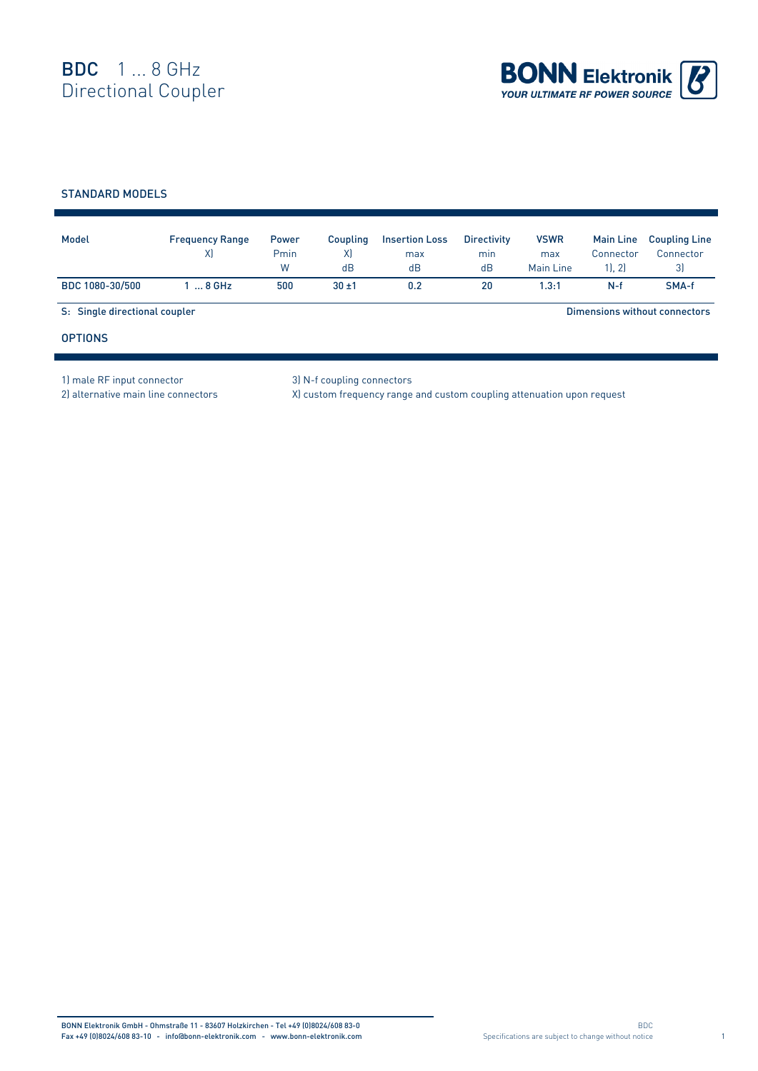

## STANDARD MODELS

| Model                         | <b>Frequency Range</b><br>X | <b>Power</b><br>Pmin<br>W | Coupling<br>X)<br>dB | <b>Insertion Loss</b><br>max<br>dB | <b>Directivity</b><br>min<br>dB | <b>VSWR</b><br>max<br>Main Line | <b>Main Line</b><br>Connector<br>1, 2 | <b>Coupling Line</b><br>Connector<br>3) |  |
|-------------------------------|-----------------------------|---------------------------|----------------------|------------------------------------|---------------------------------|---------------------------------|---------------------------------------|-----------------------------------------|--|
| BDC 1080-30/500               | $8$ GHz                     | 500                       | $30 + 1$             | 0.2                                | 20                              | 1.3:1                           | $N-f$                                 | SMA-f                                   |  |
| S: Single directional coupler |                             |                           |                      |                                    |                                 | Dimensions without connectors   |                                       |                                         |  |
| <b>OPTIONS</b>                |                             |                           |                      |                                    |                                 |                                 |                                       |                                         |  |

1) male RF input connector 3) N-f coupling connectors

2) alternative main line connectors X) custom frequency range and custom coupling attenuation upon request